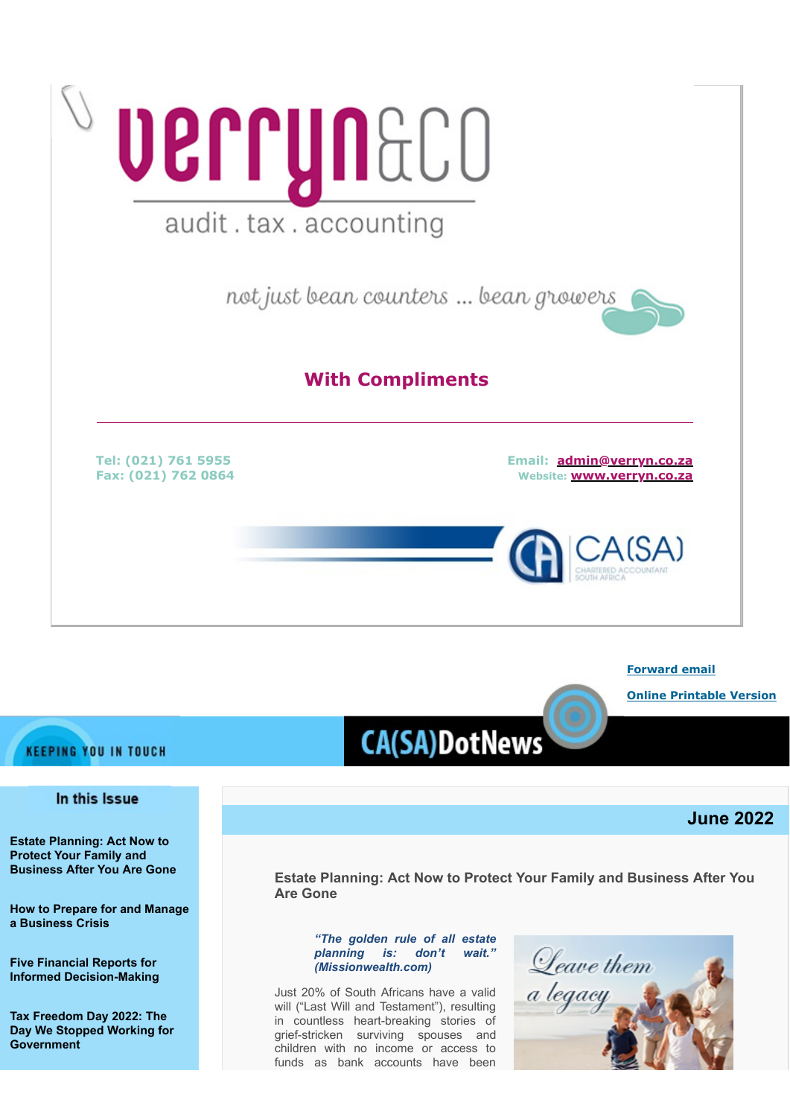

#### **[Forward email](http://www.dotnews.co.za/Code/Forward.aspx?qry=yKPR5eDKNlaukY9Ps7iCg_RIxjCBmqcCZ42fj5MJ6e13YHF68ol_DkTbxPbGbs34fpVt2WLS-iGgBtZuwNfvbpNkiBEldrReYtCA-k-vwCIpzcvQj2rR3h1yUS9YDDHNU5iFA1WAwilHphdY50_gZBA7jSZKjr-6W0A9VmJw4Vw=-NOPAD)**

**[Online Printable Version](http://www.dotnews.co.za/Code/print.aspx?qry=yKPR5eDKNlaukY9Ps7iCg_RIxjCBmqcCZ42fj5MJ6e13YHF68ol_DkTbxPbGbs34fpVt2WLS-iGgBtZuwNfvbpNkiBEldrReYtCA-k-vwCIkARm6qI_LLkOvqobXI-xh-NOPAD)**

# **KEEPING YOU IN TOUCH**

# In this Issue

**[Estate Planning: Act Now to](#page-0-0) [Protect Your Family and](#page-0-0) [Business After You Are Gone](#page-0-0)** 

**[How to Prepare for and Manage](#page-3-0) [a Business Crisis](#page-3-0)**

**[Five Financial Reports for](#page-5-0) [Informed Decision-Making](#page-5-0)** 

**[Tax Freedom Day 2022: The](#page-7-0) [Day We Stopped Working for](#page-7-0) [Government](#page-7-0)**

# **CA(SA)DotNews**

# **June 2022**

<span id="page-0-0"></span>**Estate Planning: Act Now to Protect Your Family and Business After You Are Gone** 

#### *"The golden rule of all estate planning is: don't wait." (Missionwealth.com)*

Just 20% of South Africans have a valid will ("Last Will and Testament"), resulting in countless heart-breaking stories of grief-stricken surviving spouses and children with no income or access to funds as bank accounts have been

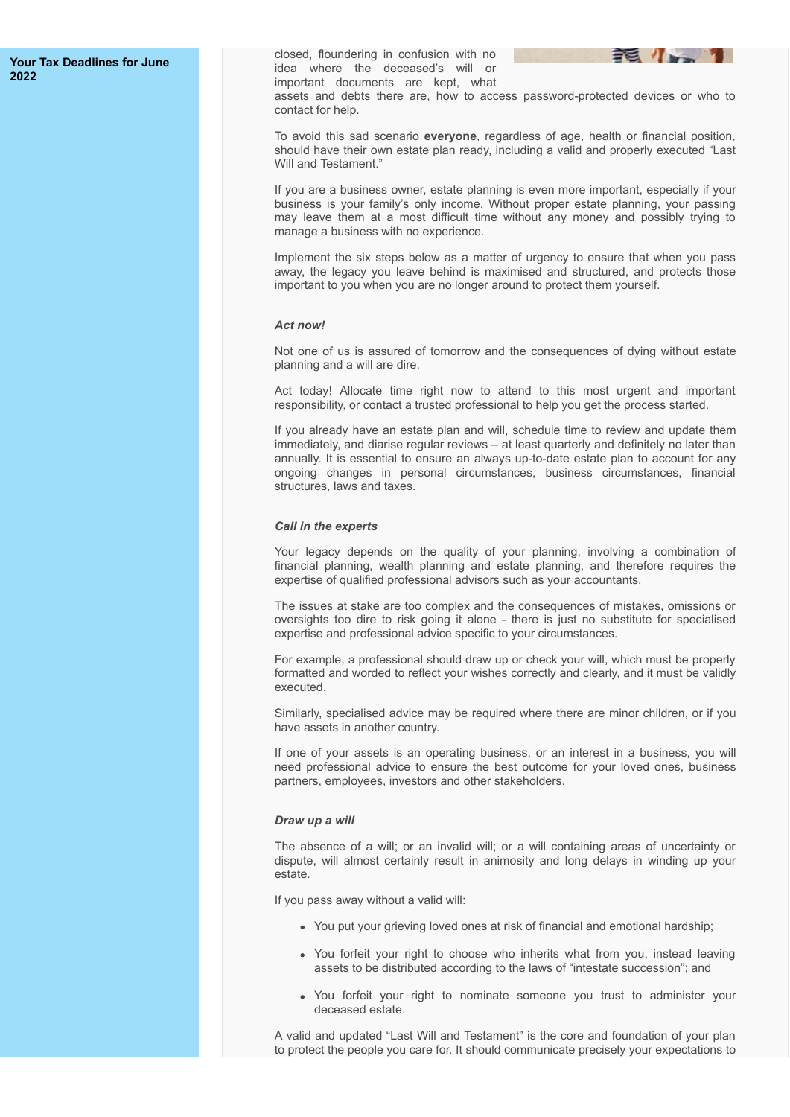#### **[Your Tax Deadlines for June](#page-7-1) [2022](#page-7-1)**

closed, floundering in confusion with no idea where the deceased's will or important documents are kept, what



assets and debts there are, how to access password-protected devices or who to contact for help.

To avoid this sad scenario **everyone**, regardless of age, health or financial position, should have their own estate plan ready, including a valid and properly executed "Last Will and Testament."

If you are a business owner, estate planning is even more important, especially if your business is your family's only income. Without proper estate planning, your passing may leave them at a most difficult time without any money and possibly trying to manage a business with no experience.

Implement the six steps below as a matter of urgency to ensure that when you pass away, the legacy you leave behind is maximised and structured, and protects those important to you when you are no longer around to protect them yourself.

#### *Act now!*

Not one of us is assured of tomorrow and the consequences of dying without estate planning and a will are dire.

Act today! Allocate time right now to attend to this most urgent and important responsibility, or contact a trusted professional to help you get the process started.

If you already have an estate plan and will, schedule time to review and update them immediately, and diarise regular reviews – at least quarterly and definitely no later than annually. It is essential to ensure an always up-to-date estate plan to account for any ongoing changes in personal circumstances, business circumstances, financial structures, laws and taxes.

#### *Call in the experts*

Your legacy depends on the quality of your planning, involving a combination of financial planning, wealth planning and estate planning, and therefore requires the expertise of qualified professional advisors such as your accountants.

The issues at stake are too complex and the consequences of mistakes, omissions or oversights too dire to risk going it alone - there is just no substitute for specialised expertise and professional advice specific to your circumstances.

For example, a professional should draw up or check your will, which must be properly formatted and worded to reflect your wishes correctly and clearly, and it must be validly executed.

Similarly, specialised advice may be required where there are minor children, or if you have assets in another country.

If one of your assets is an operating business, or an interest in a business, you will need professional advice to ensure the best outcome for your loved ones, business partners, employees, investors and other stakeholders.

#### *Draw up a will*

The absence of a will; or an invalid will; or a will containing areas of uncertainty or dispute, will almost certainly result in animosity and long delays in winding up your estate.

If you pass away without a valid will:

- You put your grieving loved ones at risk of financial and emotional hardship;
- You forfeit your right to choose who inherits what from you, instead leaving assets to be distributed according to the laws of "intestate succession"; and
- You forfeit your right to nominate someone you trust to administer your deceased estate.

A valid and updated "Last Will and Testament" is the core and foundation of your plan to protect the people you care for. It should communicate precisely your expectations to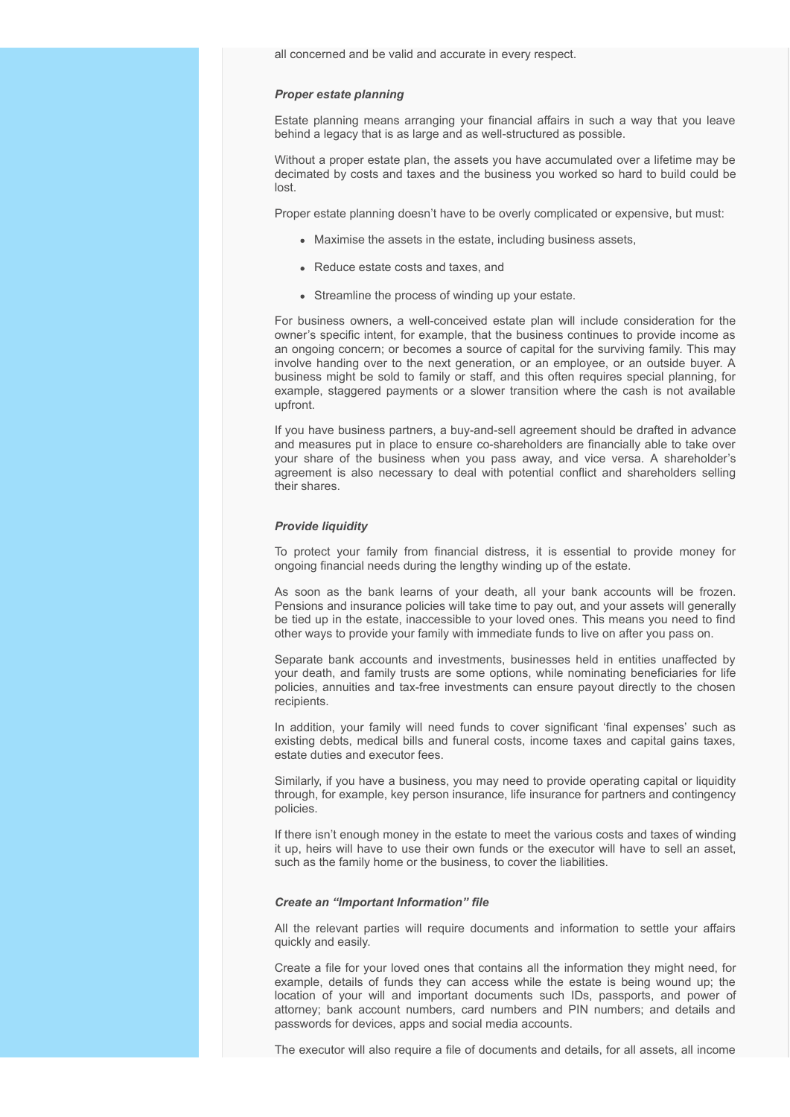all concerned and be valid and accurate in every respect.

#### *Proper estate planning*

Estate planning means arranging your financial affairs in such a way that you leave behind a legacy that is as large and as well-structured as possible.

Without a proper estate plan, the assets you have accumulated over a lifetime may be decimated by costs and taxes and the business you worked so hard to build could be lost.

Proper estate planning doesn't have to be overly complicated or expensive, but must:

- Maximise the assets in the estate, including business assets,
- Reduce estate costs and taxes, and
- Streamline the process of winding up your estate.

For business owners, a well-conceived estate plan will include consideration for the owner's specific intent, for example, that the business continues to provide income as an ongoing concern; or becomes a source of capital for the surviving family. This may involve handing over to the next generation, or an employee, or an outside buyer. A business might be sold to family or staff, and this often requires special planning, for example, staggered payments or a slower transition where the cash is not available upfront.

If you have business partners, a buy-and-sell agreement should be drafted in advance and measures put in place to ensure co-shareholders are financially able to take over your share of the business when you pass away, and vice versa. A shareholder's agreement is also necessary to deal with potential conflict and shareholders selling their shares.

#### *Provide liquidity*

To protect your family from financial distress, it is essential to provide money for ongoing financial needs during the lengthy winding up of the estate.

As soon as the bank learns of your death, all your bank accounts will be frozen. Pensions and insurance policies will take time to pay out, and your assets will generally be tied up in the estate, inaccessible to your loved ones. This means you need to find other ways to provide your family with immediate funds to live on after you pass on.

Separate bank accounts and investments, businesses held in entities unaffected by your death, and family trusts are some options, while nominating beneficiaries for life policies, annuities and tax-free investments can ensure payout directly to the chosen recipients.

In addition, your family will need funds to cover significant 'final expenses' such as existing debts, medical bills and funeral costs, income taxes and capital gains taxes, estate duties and executor fees.

Similarly, if you have a business, you may need to provide operating capital or liquidity through, for example, key person insurance, life insurance for partners and contingency policies.

If there isn't enough money in the estate to meet the various costs and taxes of winding it up, heirs will have to use their own funds or the executor will have to sell an asset, such as the family home or the business, to cover the liabilities.

#### *Create an "Important Information" file*

All the relevant parties will require documents and information to settle your affairs quickly and easily.

Create a file for your loved ones that contains all the information they might need, for example, details of funds they can access while the estate is being wound up; the location of your will and important documents such IDs, passports, and power of attorney; bank account numbers, card numbers and PIN numbers; and details and passwords for devices, apps and social media accounts.

The executor will also require a file of documents and details, for all assets, all income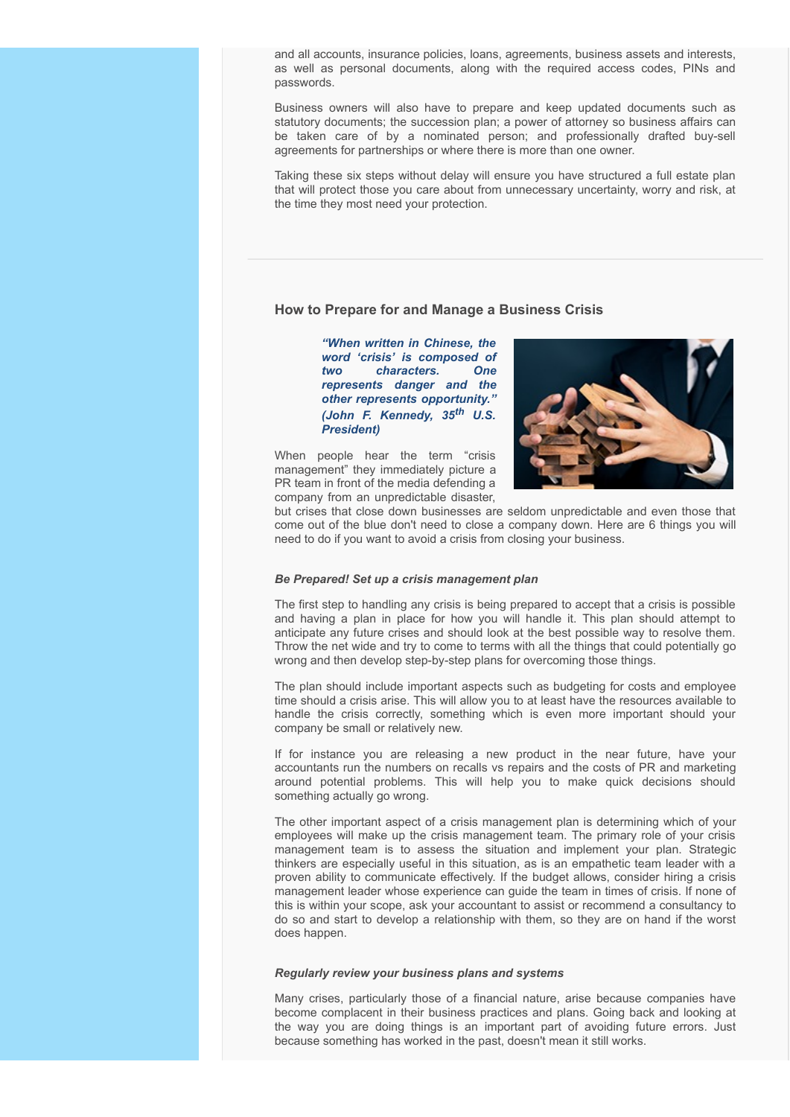and all accounts, insurance policies, loans, agreements, business assets and interests, as well as personal documents, along with the required access codes, PINs and passwords.

Business owners will also have to prepare and keep updated documents such as statutory documents; the succession plan; a power of attorney so business affairs can be taken care of by a nominated person; and professionally drafted buy-sell agreements for partnerships or where there is more than one owner.

Taking these six steps without delay will ensure you have structured a full estate plan that will protect those you care about from unnecessary uncertainty, worry and risk, at the time they most need your protection.

#### <span id="page-3-0"></span>**How to Prepare for and Manage a Business Crisis**

*"When written in Chinese, the word 'crisis' is composed of two characters. One represents danger and the other represents opportunity." (John F. Kennedy, 35th U.S. President)*

When people hear the term "crisis management" they immediately picture a PR team in front of the media defending a company from an unpredictable disaster,



but crises that close down businesses are seldom unpredictable and even those that come out of the blue don't need to close a company down. Here are 6 things you will need to do if you want to avoid a crisis from closing your business.

#### *Be Prepared! Set up a crisis management plan*

The first step to handling any crisis is being prepared to accept that a crisis is possible and having a plan in place for how you will handle it. This plan should attempt to anticipate any future crises and should look at the best possible way to resolve them. Throw the net wide and try to come to terms with all the things that could potentially go wrong and then develop step-by-step plans for overcoming those things.

The plan should include important aspects such as budgeting for costs and employee time should a crisis arise. This will allow you to at least have the resources available to handle the crisis correctly, something which is even more important should your company be small or relatively new.

If for instance you are releasing a new product in the near future, have your accountants run the numbers on recalls vs repairs and the costs of PR and marketing around potential problems. This will help you to make quick decisions should something actually go wrong.

The other important aspect of a crisis management plan is determining which of your employees will make up the crisis management team. The primary role of your crisis management team is to assess the situation and implement your plan. Strategic thinkers are especially useful in this situation, as is an empathetic team leader with a proven ability to communicate effectively. If the budget allows, consider hiring a crisis management leader whose experience can guide the team in times of crisis. If none of this is within your scope, ask your accountant to assist or recommend a consultancy to do so and start to develop a relationship with them, so they are on hand if the worst does happen.

#### *Regularly review your business plans and systems*

Many crises, particularly those of a financial nature, arise because companies have become complacent in their business practices and plans. Going back and looking at the way you are doing things is an important part of avoiding future errors. Just because something has worked in the past, doesn't mean it still works.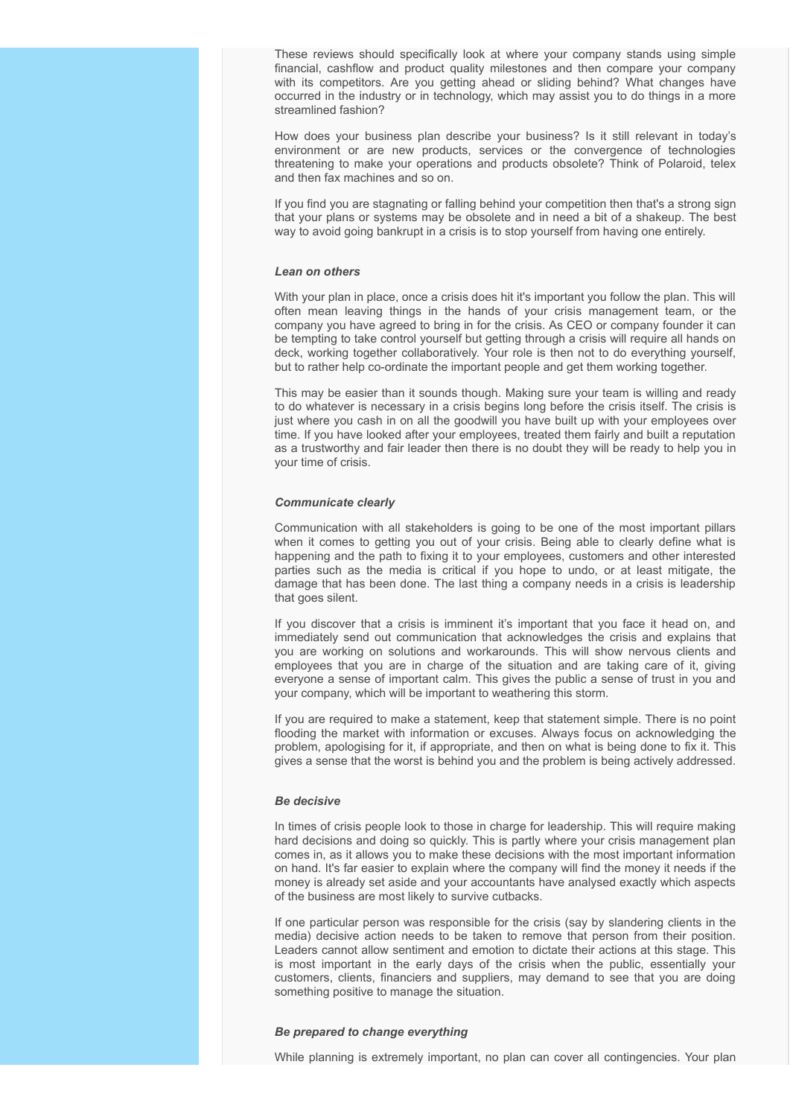These reviews should specifically look at where your company stands using simple financial, cashflow and product quality milestones and then compare your company with its competitors. Are you getting ahead or sliding behind? What changes have occurred in the industry or in technology, which may assist you to do things in a more streamlined fashion?

How does your business plan describe your business? Is it still relevant in today's environment or are new products, services or the convergence of technologies threatening to make your operations and products obsolete? Think of Polaroid, telex and then fax machines and so on.

If you find you are stagnating or falling behind your competition then that's a strong sign that your plans or systems may be obsolete and in need a bit of a shakeup. The best way to avoid going bankrupt in a crisis is to stop yourself from having one entirely.

#### *Lean on others*

With your plan in place, once a crisis does hit it's important you follow the plan. This will often mean leaving things in the hands of your crisis management team, or the company you have agreed to bring in for the crisis. As CEO or company founder it can be tempting to take control yourself but getting through a crisis will require all hands on deck, working together collaboratively. Your role is then not to do everything yourself, but to rather help co-ordinate the important people and get them working together.

This may be easier than it sounds though. Making sure your team is willing and ready to do whatever is necessary in a crisis begins long before the crisis itself. The crisis is just where you cash in on all the goodwill you have built up with your employees over time. If you have looked after your employees, treated them fairly and built a reputation as a trustworthy and fair leader then there is no doubt they will be ready to help you in your time of crisis.

#### *Communicate clearly*

Communication with all stakeholders is going to be one of the most important pillars when it comes to getting you out of your crisis. Being able to clearly define what is happening and the path to fixing it to your employees, customers and other interested parties such as the media is critical if you hope to undo, or at least mitigate, the damage that has been done. The last thing a company needs in a crisis is leadership that goes silent.

If you discover that a crisis is imminent it's important that you face it head on, and immediately send out communication that acknowledges the crisis and explains that you are working on solutions and workarounds. This will show nervous clients and employees that you are in charge of the situation and are taking care of it, giving everyone a sense of important calm. This gives the public a sense of trust in you and your company, which will be important to weathering this storm.

If you are required to make a statement, keep that statement simple. There is no point flooding the market with information or excuses. Always focus on acknowledging the problem, apologising for it, if appropriate, and then on what is being done to fix it. This gives a sense that the worst is behind you and the problem is being actively addressed.

#### *Be decisive*

In times of crisis people look to those in charge for leadership. This will require making hard decisions and doing so quickly. This is partly where your crisis management plan comes in, as it allows you to make these decisions with the most important information on hand. It's far easier to explain where the company will find the money it needs if the money is already set aside and your accountants have analysed exactly which aspects of the business are most likely to survive cutbacks.

If one particular person was responsible for the crisis (say by slandering clients in the media) decisive action needs to be taken to remove that person from their position. Leaders cannot allow sentiment and emotion to dictate their actions at this stage. This is most important in the early days of the crisis when the public, essentially your customers, clients, financiers and suppliers, may demand to see that you are doing something positive to manage the situation.

#### *Be prepared to change everything*

While planning is extremely important, no plan can cover all contingencies. Your plan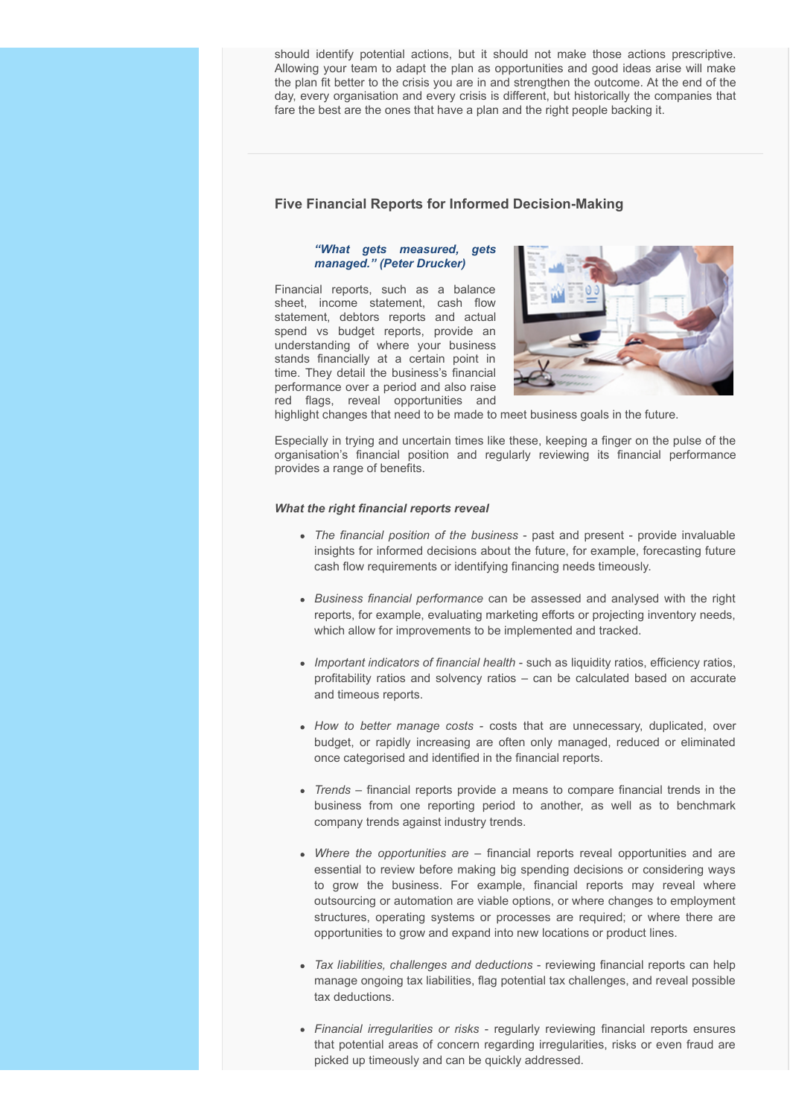should identify potential actions, but it should not make those actions prescriptive. Allowing your team to adapt the plan as opportunities and good ideas arise will make the plan fit better to the crisis you are in and strengthen the outcome. At the end of the day, every organisation and every crisis is different, but historically the companies that fare the best are the ones that have a plan and the right people backing it.

# <span id="page-5-0"></span>**Five Financial Reports for Informed Decision-Making**

#### *"What gets measured, gets managed." (Peter Drucker)*

Financial reports, such as a balance sheet, income statement, cash flow statement, debtors reports and actual spend vs budget reports, provide an understanding of where your business stands financially at a certain point in time. They detail the business's financial performance over a period and also raise red flags, reveal opportunities and



highlight changes that need to be made to meet business goals in the future.

Especially in trying and uncertain times like these, keeping a finger on the pulse of the organisation's financial position and regularly reviewing its financial performance provides a range of benefits.

#### *What the right financial reports reveal*

- *The financial position of the business* past and present provide invaluable insights for informed decisions about the future, for example, forecasting future cash flow requirements or identifying financing needs timeously.
- *Business financial performance* can be assessed and analysed with the right reports, for example, evaluating marketing efforts or projecting inventory needs, which allow for improvements to be implemented and tracked.
- *Important indicators of financial health* such as liquidity ratios, efficiency ratios, profitability ratios and solvency ratios – can be calculated based on accurate and timeous reports.
- *How to better manage costs -* costs that are unnecessary, duplicated, over budget, or rapidly increasing are often only managed, reduced or eliminated once categorised and identified in the financial reports.
- *Trends* financial reports provide a means to compare financial trends in the business from one reporting period to another, as well as to benchmark company trends against industry trends.
- *Where the opportunities are* financial reports reveal opportunities and are essential to review before making big spending decisions or considering ways to grow the business. For example, financial reports may reveal where outsourcing or automation are viable options, or where changes to employment structures, operating systems or processes are required; or where there are opportunities to grow and expand into new locations or product lines.
- *Tax liabilities, challenges and deductions* reviewing financial reports can help manage ongoing tax liabilities, flag potential tax challenges, and reveal possible tax deductions.
- *Financial irregularities or risks*  regularly reviewing financial reports ensures that potential areas of concern regarding irregularities, risks or even fraud are picked up timeously and can be quickly addressed.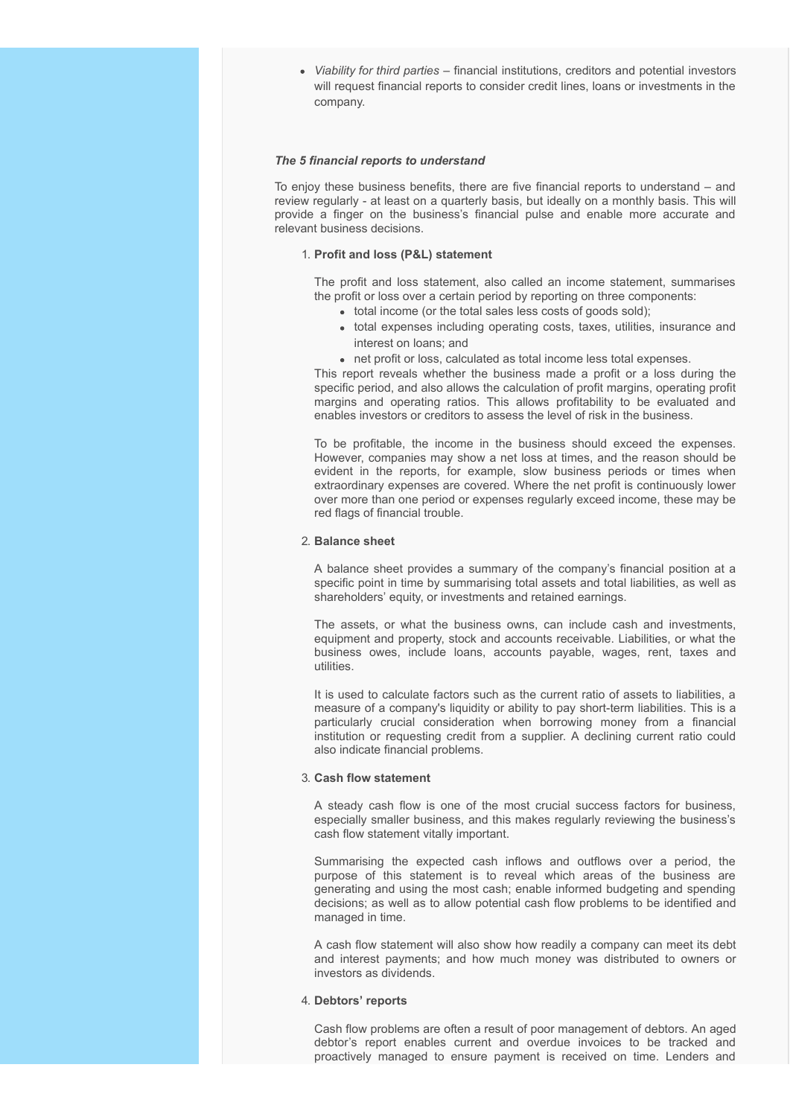*Viability for third parties* – financial institutions, creditors and potential investors will request financial reports to consider credit lines, loans or investments in the company.

#### *The 5 financial reports to understand*

To enjoy these business benefits, there are five financial reports to understand – and review regularly - at least on a quarterly basis, but ideally on a monthly basis. This will provide a finger on the business's financial pulse and enable more accurate and relevant business decisions.

# 1. **Profit and loss (P&L) statement**

The profit and loss statement, also called an income statement, summarises the profit or loss over a certain period by reporting on three components:

- total income (or the total sales less costs of goods sold);
- total expenses including operating costs, taxes, utilities, insurance and interest on loans; and
- net profit or loss, calculated as total income less total expenses.

This report reveals whether the business made a profit or a loss during the specific period, and also allows the calculation of profit margins, operating profit margins and operating ratios. This allows profitability to be evaluated and enables investors or creditors to assess the level of risk in the business.

To be profitable, the income in the business should exceed the expenses. However, companies may show a net loss at times, and the reason should be evident in the reports, for example, slow business periods or times when extraordinary expenses are covered. Where the net profit is continuously lower over more than one period or expenses regularly exceed income, these may be red flags of financial trouble.

#### 2. **Balance sheet**

A balance sheet provides a summary of the company's financial position at a specific point in time by summarising total assets and total liabilities, as well as shareholders' equity, or investments and retained earnings.

The assets, or what the business owns, can include cash and investments, equipment and property, stock and accounts receivable. Liabilities, or what the business owes, include loans, accounts payable, wages, rent, taxes and utilities.

It is used to calculate factors such as the current ratio of assets to liabilities, a measure of a company's liquidity or ability to pay short-term liabilities. This is a particularly crucial consideration when borrowing money from a financial institution or requesting credit from a supplier. A declining current ratio could also indicate financial problems.

#### 3. **Cash flow statement**

A steady cash flow is one of the most crucial success factors for business, especially smaller business, and this makes regularly reviewing the business's cash flow statement vitally important.

Summarising the expected cash inflows and outflows over a period, the purpose of this statement is to reveal which areas of the business are generating and using the most cash; enable informed budgeting and spending decisions; as well as to allow potential cash flow problems to be identified and managed in time.

A cash flow statement will also show how readily a company can meet its debt and interest payments; and how much money was distributed to owners or investors as dividends.

#### 4. **Debtors' reports**

Cash flow problems are often a result of poor management of debtors. An aged debtor's report enables current and overdue invoices to be tracked and proactively managed to ensure payment is received on time. Lenders and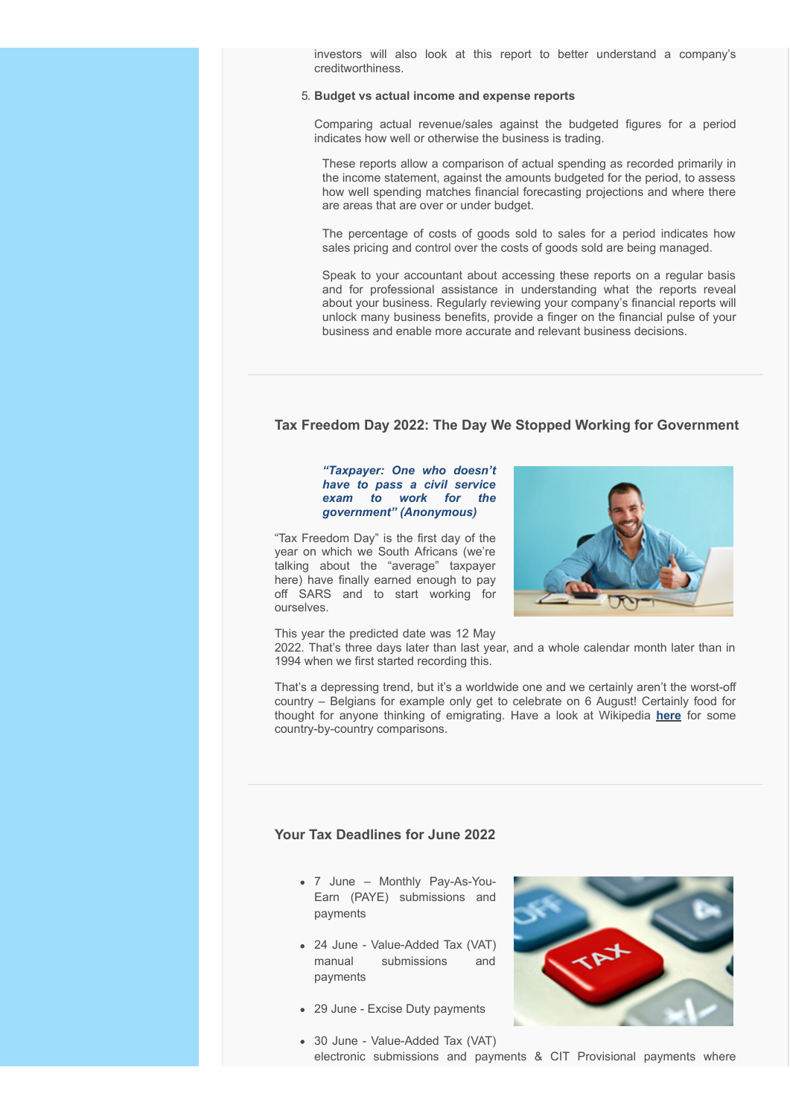investors will also look at this report to better understand a company's creditworthiness.

#### 5. **Budget vs actual income and expense reports**

Comparing actual revenue/sales against the budgeted figures for a period indicates how well or otherwise the business is trading.

These reports allow a comparison of actual spending as recorded primarily in the income statement, against the amounts budgeted for the period, to assess how well spending matches financial forecasting projections and where there are areas that are over or under budget.

The percentage of costs of goods sold to sales for a period indicates how sales pricing and control over the costs of goods sold are being managed.

Speak to your accountant about accessing these reports on a regular basis and for professional assistance in understanding what the reports reveal about your business. Regularly reviewing your company's financial reports will unlock many business benefits, provide a finger on the financial pulse of your business and enable more accurate and relevant business decisions.

# <span id="page-7-0"></span>**Tax Freedom Day 2022: The Day We Stopped Working for Government**

#### *"Taxpayer: One who doesn't have to pass a civil service exam to work for the government" (Anonymous)*

"Tax Freedom Day" is the first day of the year on which we South Africans (we're talking about the "average" taxpayer here) have finally earned enough to pay off SARS and to start working for ourselves.

This year the predicted date was 12 May

2022. That's three days later than last year, and a whole calendar month later than in 1994 when we first started recording this.

That's a depressing trend, but it's a worldwide one and we certainly aren't the worst-off country – Belgians for example only get to celebrate on 6 August! Certainly food for thought for anyone thinking of emigrating. Have a look at Wikipedia **[here](https://en.wikipedia.org/wiki/Tax_Freedom_Day)** for some country-by-country comparisons.

## <span id="page-7-1"></span>**Your Tax Deadlines for June 2022**

- 7 June Monthly Pay-As-You-Earn (PAYE) submissions and payments
- 24 June Value-Added Tax (VAT) manual submissions and payments
- 29 June Excise Duty payments



30 June - Value-Added Tax (VAT) electronic submissions and payments & CIT Provisional payments where